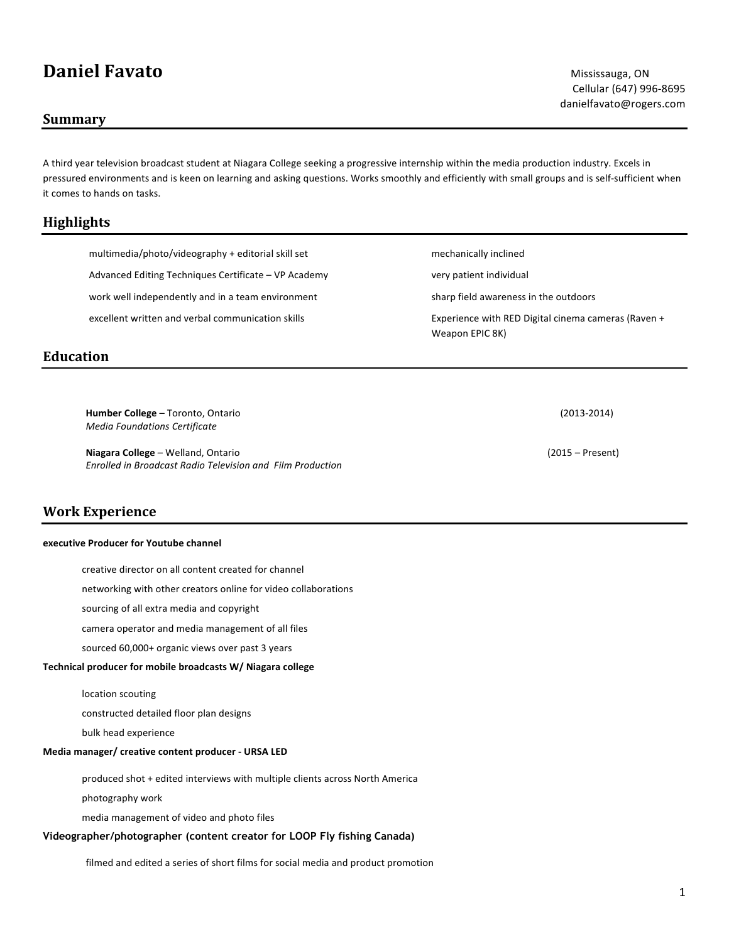# **Daniel Favato** Mississauga, ON

### **Summary**

A third year television broadcast student at Niagara College seeking a progressive internship within the media production industry. Excels in pressured environments and is keen on learning and asking questions. Works smoothly and efficiently with small groups and is self-sufficient when it comes to hands on tasks.

## **Highlights**

 multimedia/photo/videography + editorial skill set Advanced Editing Techniques Certificate – VP Academy work well independently and in a team environment excellent written and verbal communication skills

# **Education**

**Humber College** – Toronto, Ontario (2013-2014) *Media Foundations Certificate*

**Niagara College** – Welland, Ontario (2015 – Present) *Enrolled in Broadcast Radio Television and Film Production*

# **Work Experience**

#### **executive Producer for Youtube channel**

creative director on all content created for channel

networking with other creators online for video collaborations

sourcing of all extra media and copyright

camera operator and media management of all files

sourced 60,000+ organic views over past 3 years

#### **Technical producer for mobile broadcasts W/ Niagara college**

location scouting

constructed detailed floor plan designs

bulk head experience

#### **Media manager/ creative content producer - URSA LED**

produced shot + edited interviews with multiple clients across North America

photography work

media management of video and photo files

#### **Videographer/photographer (content creator for LOOP Fly fishing Canada)**

filmed and edited a series of short films for social media and product promotion

Cellular (647) 996-8695 danielfavato@rogers.com

sharp field awareness in the outdoors

 mechanically inclined very patient individual

 Experience with RED Digital cinema cameras (Raven + Weapon EPIC 8K)